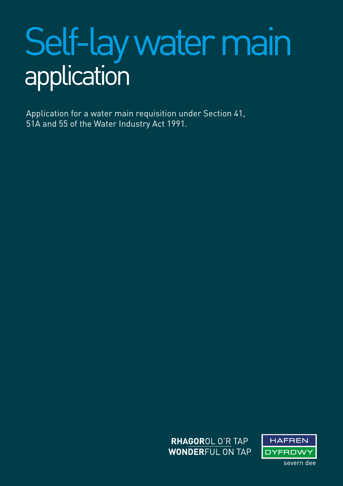# Self-lay water main application

Application for a water main requisition under Section 41, 51A and 55 of the Water Industry Act 1991.



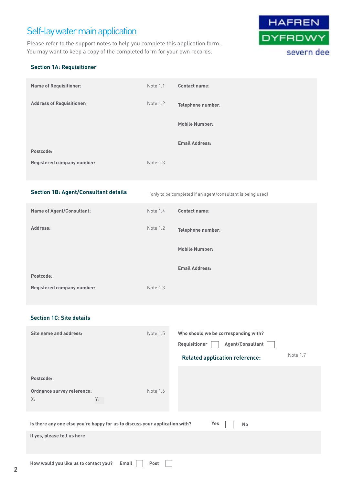# Self-lay water main application

Please refer to the support notes to help you complete this application form. You may want to keep a copy of the completed form for your own records.



# **Section 1A: Requisitioner**

| <b>Name of Requisitioner:</b>     | Note 1.1 | <b>Contact name:</b>  |
|-----------------------------------|----------|-----------------------|
| <b>Address of Requisitioner:</b>  | Note 1.2 | Telephone number:     |
|                                   |          | <b>Mobile Number:</b> |
| Postcode:                         |          | <b>Email Address:</b> |
|                                   |          |                       |
| <b>Registered company number:</b> | Note 1.3 |                       |

# **Section 1B: Agent/Consultant details**

(only to be completed if an agent/consultant is being used)

| <b>Name of Agent/Consultant:</b>  | Note 1.4 | <b>Contact name:</b>  |
|-----------------------------------|----------|-----------------------|
| Address:                          | Note 1.2 | Telephone number:     |
|                                   |          | <b>Mobile Number:</b> |
| Postcode:                         |          | <b>Email Address:</b> |
| <b>Registered company number:</b> | Note 1.3 |                       |

# **Section 1C: Site details**

| Site name and address:                                                      | Note 1.5                 | Who should we be corresponding with?<br>Agent/Consultant<br>Requisitioner<br>Note 1.7<br><b>Related application reference:</b> |
|-----------------------------------------------------------------------------|--------------------------|--------------------------------------------------------------------------------------------------------------------------------|
| Postcode:                                                                   |                          |                                                                                                                                |
| Ordnance survey reference:<br>Y:<br>X:                                      | Note 1.6                 |                                                                                                                                |
| Is there any one else you're happy for us to discuss your application with? |                          | Yes<br><b>No</b>                                                                                                               |
| If yes, please tell us here                                                 |                          |                                                                                                                                |
|                                                                             | $\overline{\phantom{a}}$ |                                                                                                                                |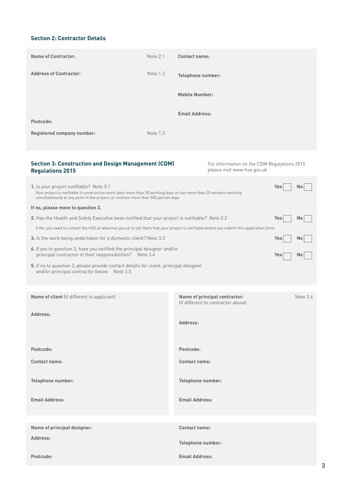# **Section 2: Contractor Details**

| <b>Name of Contractor:</b>        | Note 2.1 | <b>Contact name:</b>     |
|-----------------------------------|----------|--------------------------|
| <b>Address of Contractor:</b>     | Note 1.2 | <b>Telephone number:</b> |
|                                   |          | <b>Mobile Number:</b>    |
| Postcode:                         |          | <b>Email Address:</b>    |
| <b>Registered company number:</b> | Note 1.3 |                          |

# **Section 3: Construction and Design Management (CDM) Regulations 2015**

For information on the CDM Regulations 2015 please visit www.hse.gov.uk

| 1. Is your project notifiable? Note 3.1<br>Your project is notifiable if construction work lasts more than 30 working days or has more than 20 workers working<br>simultaneously at any point in the project; or involves more than 500 person days. | Yes.  |           |
|------------------------------------------------------------------------------------------------------------------------------------------------------------------------------------------------------------------------------------------------------|-------|-----------|
| If no, please move to question 3.                                                                                                                                                                                                                    |       |           |
| <b>2.</b> Has the Health and Safety Executive been notified that your project is notifiable? Note 3.2                                                                                                                                                | Yes.  |           |
| If No, you need to contact the HSE at www.hse.gov.uk to tell them that your project is notifiable before you submit this application form.                                                                                                           |       |           |
| <b>3.</b> Is the work being undertaken for a domestic client? Note 3.3                                                                                                                                                                               | Yes l | <b>No</b> |
| 4. If yes to question 3, have you notified the principal designer and/or<br>principal contractor of their responsibilities? Note 3.4                                                                                                                 | Yes.  |           |
| 5. If no to question 3, please provide contact details for client, principal designer                                                                                                                                                                |       |           |

**5.** If no to question 3, please provide contact details for client, principal designer and/or principal contractor belowNote 3.5

| Name of client (if different to applicant) | Name of principal contractor:<br>(if different to contractor above) | Note 3.4 |
|--------------------------------------------|---------------------------------------------------------------------|----------|
| Address:                                   | Address:                                                            |          |
| Postcode:                                  | Postcode:                                                           |          |
| <b>Contact name:</b>                       | <b>Contact name:</b>                                                |          |
| Telephone number:<br><b>Email Address:</b> | Telephone number:<br><b>Email Address:</b>                          |          |
|                                            |                                                                     |          |
|                                            |                                                                     |          |
| Name of principal designer:                | <b>Contact name:</b>                                                |          |
| Address:                                   | Telephone number:                                                   |          |
| Postcode:                                  | <b>Email Address:</b>                                               |          |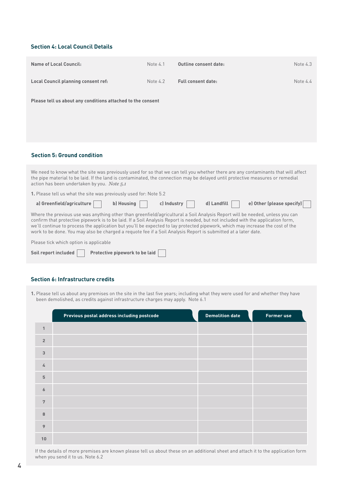# **Section 4: Local Council Details**

| <b>Name of Local Council:</b>                                                                                                                                                                                                                                                                                                                                                                                                                                                                                        | Note 4.1    | <b>Outline consent date:</b> | Note 4.3                  |
|----------------------------------------------------------------------------------------------------------------------------------------------------------------------------------------------------------------------------------------------------------------------------------------------------------------------------------------------------------------------------------------------------------------------------------------------------------------------------------------------------------------------|-------------|------------------------------|---------------------------|
| <b>Local Council planning consent ref:</b>                                                                                                                                                                                                                                                                                                                                                                                                                                                                           | Note 4.2    | <b>Full consent date:</b>    | Note 4.4                  |
| Please tell us about any conditions attached to the consent                                                                                                                                                                                                                                                                                                                                                                                                                                                          |             |                              |                           |
|                                                                                                                                                                                                                                                                                                                                                                                                                                                                                                                      |             |                              |                           |
| <b>Section 5: Ground condition</b>                                                                                                                                                                                                                                                                                                                                                                                                                                                                                   |             |                              |                           |
| We need to know what the site was previously used for so that we can tell you whether there are any contaminants that will affect<br>the pipe material to be laid. If the land is contaminated, the connection may be delayed until protective measures or remedial<br>action has been undertaken by you. Note 5.1                                                                                                                                                                                                   |             |                              |                           |
| 1. Please tell us what the site was previously used for: Note 5.2                                                                                                                                                                                                                                                                                                                                                                                                                                                    |             |                              |                           |
| a) Greenfield/agriculture<br>b) Housing                                                                                                                                                                                                                                                                                                                                                                                                                                                                              | c) Industry | d) Landfill                  | e) Other (please specify) |
| Where the previous use was anything other than greenfield/agricultural a Soil Analysis Report will be needed, unless you can<br>confirm that protective pipework is to be laid. If a Soil Analysis Report is needed, but not included with the application form,<br>we'll continue to process the application but you'll be expected to lay protected pipework, which may increase the cost of the<br>work to be done. You may also be charged a requote fee if a Soil Analysis Report is submitted at a later date. |             |                              |                           |
| Please tick which option is applicable                                                                                                                                                                                                                                                                                                                                                                                                                                                                               |             |                              |                           |
| Soil report included<br>Protective pipework to be laid                                                                                                                                                                                                                                                                                                                                                                                                                                                               |             |                              |                           |

# **Section 6: Infrastructure credits**

**1.** Please tell us about any premises on the site in the last five years; including what they were used for and whether they have been demolished, as credits against infrastructure charges may apply.Note 6.1

|                 | Previous postal address including postcode | <b>Demolition date</b> | <b>Former use</b> |
|-----------------|--------------------------------------------|------------------------|-------------------|
| $\mathbf{1}$    |                                            |                        |                   |
| $\overline{2}$  |                                            |                        |                   |
| $\mathbf{3}$    |                                            |                        |                   |
| 4               |                                            |                        |                   |
| $\mathbf 5$     |                                            |                        |                   |
| $\pmb{6}$       |                                            |                        |                   |
| $7\overline{ }$ |                                            |                        |                   |
| 8               |                                            |                        |                   |
| 9               |                                            |                        |                   |
| 10              |                                            |                        |                   |

If the details of more premises are known please tell us about these on an additional sheet and attach it to the application form when you send it to us. Note 6.2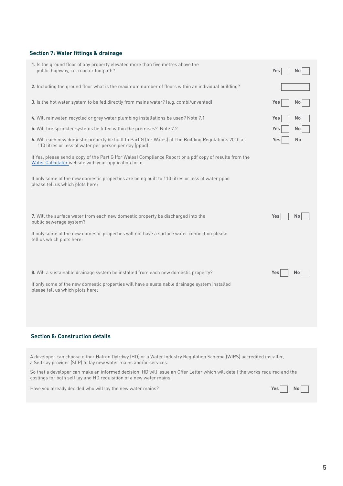# **Section 7: Water fittings & drainage**

| 1. Is the ground floor of any property elevated more than five metres above the<br>public highway, i.e. road or footpath?                                        | Yes |           |
|------------------------------------------------------------------------------------------------------------------------------------------------------------------|-----|-----------|
| 2. Including the ground floor what is the maximum number of floors within an individual building?                                                                |     |           |
| 3. Is the hot water system to be fed directly from mains water? (e.g. combi/unvented)                                                                            | Yes | No        |
| 4. Will rainwater, recycled or grey water plumbing installations be used? Note 7.1                                                                               | Yes | No        |
| 5. Will fire sprinkler systems be fitted within the premises? Note 7.2                                                                                           | Yes | No        |
| 6. Will each new domestic property be built to Part G (for Wales) of The Building Regulations 2010 at<br>110 litres or less of water per person per day (pppd)   | Yes | <b>No</b> |
| If Yes, please send a copy of the Part G (for Wales) Compliance Report or a pdf copy of results from the<br>Water Calculator website with your application form. |     |           |
| If only some of the new domestic properties are being built to 110 litres or less of water pppd<br>please tell us which plots here:                              |     |           |
| 7. Will the surface water from each new domestic property be discharged into the<br>public sewerage system?                                                      | Yes | No        |
| If only some of the new domestic properties will not have a surface water connection please<br>tell us which plots here:                                         |     |           |
|                                                                                                                                                                  |     |           |
| 8. Will a sustainable drainage system be installed from each new domestic property?                                                                              | Yes | Nο        |
| If only some of the new domestic properties will have a sustainable drainage system installed<br>please tell us which plots here:                                |     |           |
|                                                                                                                                                                  |     |           |
|                                                                                                                                                                  |     |           |

# **Section 8: Construction details**

A developer can choose either Hafren Dyfrdwy (HD) or a Water Industry Regulation Scheme (WIRS) accredited installer, a Self-lay provider (SLP) to lay new water mains and/or services.

So that a developer can make an informed decision, HD will issue an Offer Letter which will detail the works required and the costings for both self lay and HD requisition of a new water mains.

Have you already decided who will lay the new water mains?<br> **Have you already decided who will lay the new water mains?**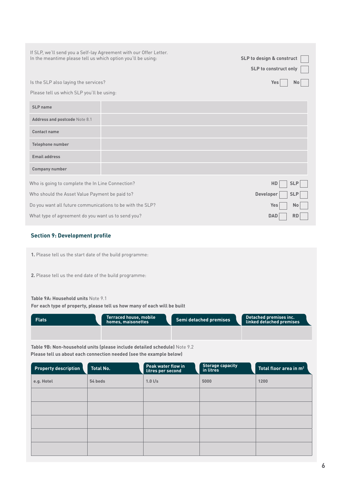| If SLP, we'll send you a Self-lay Agreement with our Offer Letter.<br>In the meantime please tell us which option you'll be using: | SLP to design & construct<br><b>SLP to construct only</b> |                         |
|------------------------------------------------------------------------------------------------------------------------------------|-----------------------------------------------------------|-------------------------|
| Is the SLP also laying the services?                                                                                               |                                                           | Yes<br>No               |
| Please tell us which SLP you'll be using:                                                                                          |                                                           |                         |
| SLP name                                                                                                                           |                                                           |                         |
| Address and postcode Note 8.1                                                                                                      |                                                           |                         |
| <b>Contact name</b>                                                                                                                |                                                           |                         |
| <b>Telephone number</b>                                                                                                            |                                                           |                         |
| <b>Email address</b>                                                                                                               |                                                           |                         |
| <b>Company number</b>                                                                                                              |                                                           |                         |
| Who is going to complete the In Line Connection?                                                                                   |                                                           | HD<br><b>SLP</b>        |
| Who should the Asset Value Payment be paid to?                                                                                     |                                                           | Developer<br><b>SLP</b> |
| Do you want all future communications to be with the SLP?                                                                          |                                                           | Yes<br><b>No</b>        |
| What type of agreement do you want us to send you?                                                                                 |                                                           | <b>DAD</b><br>RD        |

# **Section 9: Development profile**

**1.** Please tell us the start date of the build programme:

**2.** Please tell us the end date of the build programme:

### **Table 9A: Household units** Note 9.1

**For each type of property, please tell us how many of each will be built**

| <b>Flats</b> | Terraced house, mobile<br>homes, maisonettes | Semi detached premises | Detached premises inc.<br>linked detached premises |
|--------------|----------------------------------------------|------------------------|----------------------------------------------------|
|              |                                              |                        |                                                    |

**Table 9B: Non-household units (please include detailed schedule)** Note 9.2 **Please tell us about each connection needed (see the example below)**

| <b>Property description</b> | <b>Total No.</b> | Peak water flow in<br>litres per second | <b>Storage capacity</b><br>in litres | Total floor area in m <sup>2</sup> |
|-----------------------------|------------------|-----------------------------------------|--------------------------------------|------------------------------------|
| e.g. Hotel                  | 54 beds          | $1.0$ l/s                               | 5000                                 | 1200                               |
|                             |                  |                                         |                                      |                                    |
|                             |                  |                                         |                                      |                                    |
|                             |                  |                                         |                                      |                                    |
|                             |                  |                                         |                                      |                                    |
|                             |                  |                                         |                                      |                                    |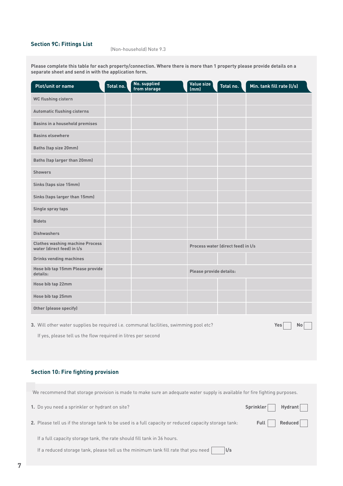# **Section 9C: Fittings List** (Non-household) Note 9.3

**Please complete this table for each property/connection. Where there is more than 1 property please provide details on a separate sheet and send in with the application form.**

| <b>Plot/unit or name</b>                                                                           | Total no. | No. supplied<br>from storage | Value size<br>(mm)                 | Total no. | Min. tank fill rate (I/s) |
|----------------------------------------------------------------------------------------------------|-----------|------------------------------|------------------------------------|-----------|---------------------------|
| WC flushing cistern                                                                                |           |                              |                                    |           |                           |
| <b>Automatic flushing cisterns</b>                                                                 |           |                              |                                    |           |                           |
| <b>Basins in a household premises</b>                                                              |           |                              |                                    |           |                           |
| <b>Basins elsewhere</b>                                                                            |           |                              |                                    |           |                           |
| Baths (tap size 20mm)                                                                              |           |                              |                                    |           |                           |
| Baths (tap larger than 20mm)                                                                       |           |                              |                                    |           |                           |
| <b>Showers</b>                                                                                     |           |                              |                                    |           |                           |
| Sinks (taps size 15mm)                                                                             |           |                              |                                    |           |                           |
| Sinks (taps larger than 15mm)                                                                      |           |                              |                                    |           |                           |
| Single spray taps                                                                                  |           |                              |                                    |           |                           |
| <b>Bidets</b>                                                                                      |           |                              |                                    |           |                           |
| <b>Dishwashers</b>                                                                                 |           |                              |                                    |           |                           |
| <b>Clothes washing machine Process</b><br>water (direct feed) in I/s                               |           |                              | Process water (direct feed) in I/s |           |                           |
| <b>Drinks vending machines</b>                                                                     |           |                              |                                    |           |                           |
| Hose bib tap 15mm Please provide<br>details:                                                       |           |                              | Please provide details:            |           |                           |
| Hose bib tap 22mm                                                                                  |           |                              |                                    |           |                           |
| Hose bib tap 25mm                                                                                  |           |                              |                                    |           |                           |
| <b>Other (please specify)</b>                                                                      |           |                              |                                    |           |                           |
| 3. Will other water supplies be required i.e. communal facilities, swimming pool etc?<br>Yes<br>No |           |                              |                                    |           |                           |

If yes, please tell us the flow required in litres per second

# **Section 10: Fire fighting provision**

| We recommend that storage provision is made to make sure an adequate water supply is available for fire fighting purposes. |           |                |  |
|----------------------------------------------------------------------------------------------------------------------------|-----------|----------------|--|
| 1. Do you need a sprinkler or hydrant on site?                                                                             | Sprinkler | <b>Hydrant</b> |  |
| 2. Please tell us if the storage tank to be used is a full capacity or reduced capacity storage tank:                      | Full      | Reduced        |  |
| If a full capacity storage tank, the rate should fill tank in 36 hours.                                                    |           |                |  |
| If a reduced storage tank, please tell us the minimum tank fill rate that you need<br>$\sqrt{s}$                           |           |                |  |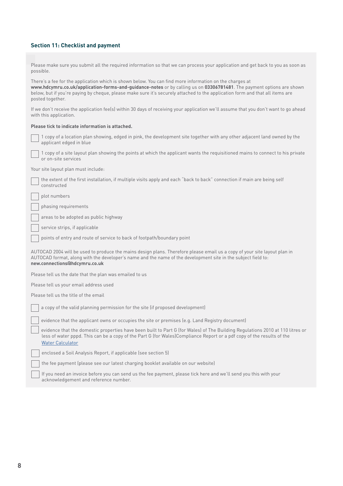# **Section 11: Checklist and payment**

| Please make sure you submit all the required information so that we can process your application and get back to you as soon as<br>possible.                                                                                                                                                                                                                                          |  |  |  |  |  |
|---------------------------------------------------------------------------------------------------------------------------------------------------------------------------------------------------------------------------------------------------------------------------------------------------------------------------------------------------------------------------------------|--|--|--|--|--|
| There's a fee for the application which is shown below. You can find more information on the charges at<br>www.hdcymru.co.uk/application-forms-and-guidance-notes or by calling us on 03306781481. The payment options are shown<br>below, but if you're paying by cheque, please make sure it's securely attached to the application form and that all items are<br>posted together. |  |  |  |  |  |
| If we don't receive the application fee(s) within 30 days of receiving your application we'll assume that you don't want to go ahead<br>with this application.                                                                                                                                                                                                                        |  |  |  |  |  |
| Please tick to indicate information is attached.                                                                                                                                                                                                                                                                                                                                      |  |  |  |  |  |
| 1 copy of a location plan showing, edged in pink, the development site together with any other adjacent land owned by the<br>applicant edged in blue                                                                                                                                                                                                                                  |  |  |  |  |  |
| 1 copy of a site layout plan showing the points at which the applicant wants the requisitioned mains to connect to his private<br>or on-site services                                                                                                                                                                                                                                 |  |  |  |  |  |
| Your site layout plan must include:                                                                                                                                                                                                                                                                                                                                                   |  |  |  |  |  |
| the extent of the first installation, if multiple visits apply and each "back to back" connection if main are being self<br>constructed                                                                                                                                                                                                                                               |  |  |  |  |  |
| plot numbers                                                                                                                                                                                                                                                                                                                                                                          |  |  |  |  |  |
| phasing requirements                                                                                                                                                                                                                                                                                                                                                                  |  |  |  |  |  |
| areas to be adopted as public highway                                                                                                                                                                                                                                                                                                                                                 |  |  |  |  |  |
| service strips, if applicable                                                                                                                                                                                                                                                                                                                                                         |  |  |  |  |  |
| points of entry and route of service to back of footpath/boundary point                                                                                                                                                                                                                                                                                                               |  |  |  |  |  |
| AUTOCAD 2004 will be used to produce the mains design plans. Therefore please email us a copy of your site layout plan in<br>AUTOCAD format, along with the developer's name and the name of the development site in the subject field to:<br>new.connections@hdcymru.co.uk                                                                                                           |  |  |  |  |  |
| Please tell us the date that the plan was emailed to us                                                                                                                                                                                                                                                                                                                               |  |  |  |  |  |
| Please tell us your email address used                                                                                                                                                                                                                                                                                                                                                |  |  |  |  |  |
| Please tell us the title of the email                                                                                                                                                                                                                                                                                                                                                 |  |  |  |  |  |
| a copy of the valid planning permission for the site (if proposed development)                                                                                                                                                                                                                                                                                                        |  |  |  |  |  |
| evidence that the applicant owns or occupies the site or premises (e.g. Land Registry document)                                                                                                                                                                                                                                                                                       |  |  |  |  |  |
| evidence that the domestic properties have been built to Part G (for Wales) of The Building Regulations 2010 at 110 litres or<br>less of water pppd. This can be a copy of the Part G (for Wales)Compliance Report or a pdf copy of the results of the<br><b>Water Calculator</b>                                                                                                     |  |  |  |  |  |
| enclosed a Soil Analysis Report, if applicable (see section 5)                                                                                                                                                                                                                                                                                                                        |  |  |  |  |  |
| the fee payment (please see our latest charging booklet available on our website)                                                                                                                                                                                                                                                                                                     |  |  |  |  |  |
| If you need an invoice before you can send us the fee payment, please tick here and we'll send you this with your<br>acknowledgement and reference number.                                                                                                                                                                                                                            |  |  |  |  |  |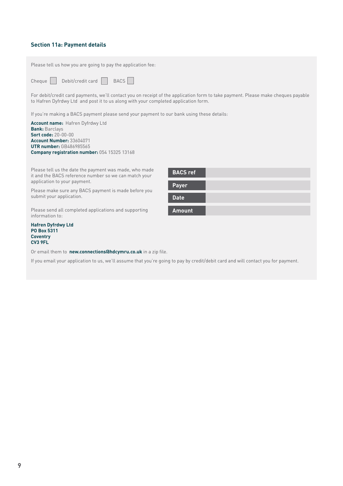# **Section 11a: Payment details**

| Please tell us how you are going to pay the application fee:                                                                                                                                                             |                 |  |  |  |  |
|--------------------------------------------------------------------------------------------------------------------------------------------------------------------------------------------------------------------------|-----------------|--|--|--|--|
| Debit/credit card<br><b>BACS</b><br>Cheque                                                                                                                                                                               |                 |  |  |  |  |
| For debit/credit card payments, we'll contact you on receipt of the application form to take payment. Please make cheques payable<br>to Hafren Dyfrdwy Ltd and post it to us along with your completed application form. |                 |  |  |  |  |
| If you're making a BACS payment please send your payment to our bank using these details:                                                                                                                                |                 |  |  |  |  |
| <b>Account name: Hafren Dyfrdwy Ltd</b><br><b>Bank: Barclays</b><br>Sort code: 20-00-00<br><b>Account Number: 33604071</b><br><b>UTR number: GB486985565</b><br>Company registration number: 054 15325 13168             |                 |  |  |  |  |
| Please tell us the date the payment was made, who made<br>it and the BACS reference number so we can match your<br>application to your payment.                                                                          | <b>BACS ref</b> |  |  |  |  |
| Please make sure any BACS payment is made before you                                                                                                                                                                     | <b>Payer</b>    |  |  |  |  |
| submit your application.                                                                                                                                                                                                 | <b>Date</b>     |  |  |  |  |
| Please send all completed applications and supporting<br>information to:                                                                                                                                                 | <b>Amount</b>   |  |  |  |  |
| <b>Hafren Dyfrdwy Ltd</b><br>PO Box 5311<br><b>Coventry</b><br>CV <sub>3</sub> 9FL                                                                                                                                       |                 |  |  |  |  |
| Or email them to new.connections@hdcymru.co.uk in a zip file.                                                                                                                                                            |                 |  |  |  |  |
| the contract of the contract of the contract of the contract of the contract of the contract of the contract of                                                                                                          |                 |  |  |  |  |

If you email your application to us, we'll assume that you're going to pay by credit/debit card and will contact you for payment.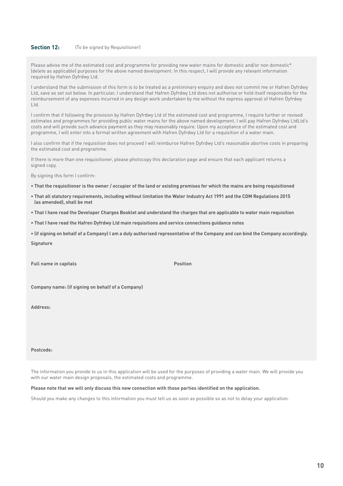#### **Section 12:** (To be signed by Requisitioner)

Please advise me of the estimated cost and programme for providing new water mains for domestic and/or non domestic\* (delete as applicable) purposes for the above named development. In this respect, I will provide any relevant information required by Hafren Dyfrdwy Ltd.

I understand that the submission of this form is to be treated as a preliminary enquiry and does not commit me or Hafren Dyfrdwy Ltd, save as set out below. In particular, I understand that Hafren Dyfrdwy Ltd does not authorise or hold itself responsible for the reimbursement of any expenses incurred in any design work undertaken by me without the express approval of Hafren Dyfrdwy Ltd.

I confirm that if following the provision by Hafren Dyfrdwy Ltd of the estimated cost and programme, I require further or revised estimates and programmes for providing public water mains for the above named development, I will pay Hafren Dyfrdwy LtdLtd's costs and will provide such advance payment as they may reasonably require. Upon my acceptance of the estimated cost and programme, I will enter into a formal written agreement with Hafren Dyfrdwy Ltd for a requisition of a water main.

I also confirm that if the requisition does not proceed I will reimburse Hafren Dyfrdwy Ltd's reasonable abortive costs in preparing the estimated cost and programme.

If there is more than one requisitioner, please photocopy this declaration page and ensure that each applicant returns a signed copy.

By signing this form I confirm:

- **That the requisitioner is the owner / occupier of the land or existing premises for which the mains are being requisitioned**
- **That all statutory requirements, including without limitation the Water Industry Act 1991 and the CDM Regulations 2015 (as amended), shall be met**
- **That I have read the Developer Charges Booklet and understand the charges that are applicable to water main requisition**
- **That I have read the Hafren Dyfrdwy Ltd main requisitions and service connections guidance notes**

**• (if signing on behalf of a Company) I am a duly authorised representative of the Company and can bind the Company accordingly. Signature**

**Full name in capitals Position**

**Company name: (if signing on behalf of a Company)**

**Address:**

#### **Postcode:**

The information you provide to us in this application will be used for the purposes of providing a water main. We will provide you with our water main design proposals, the estimated costs and programme.

#### **Please note that we will only discuss this new connection with those parties identified on the application.**

Should you make any changes to this information you must tell us as soon as possible so as not to delay your application.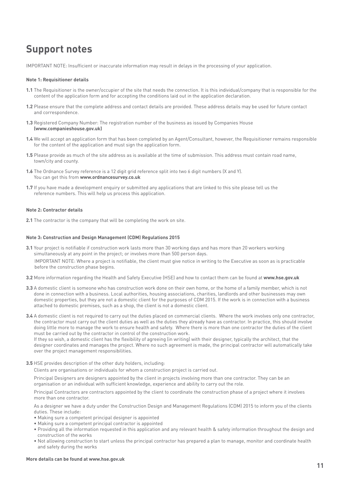# **Support notes**

IMPORTANT NOTE: Insufficient or inaccurate information may result in delays in the processing of your application.

#### **Note 1: Requisitioner details**

- **1.1** The Requisitioner is the owner/occupier of the site that needs the connection. It is this individual/company that is responsible for the content of the application form and for accepting the conditions laid out in the application declaration.
- **1.2** Please ensure that the complete address and contact details are provided. These address details may be used for future contact and correspondence.
- **1.3** Registered Company Number: The registration number of the business as issued by Companies House **(www.companieshouse.gov.uk)**
- **1.4** We will accept an application form that has been completed by an Agent/Consultant, however, the Requisitioner remains responsible for the content of the application and must sign the application form.
- **1.5** Please provide as much of the site address as is available at the time of submission. This address must contain road name, town/city and county.
- **1.6** The Ordnance Survey reference is a 12 digit grid reference split into two 6 digit numbers (X and Y). You can get this from **www.ordnancesurvey.co.uk**
- **1.7** If you have made a development enquiry or submitted any applications that are linked to this site please tell us the reference numbers. This will help us process this application.

#### **Note 2: Contractor details**

**2.1** The contractor is the company that will be completing the work on site.

#### **Note 3: Construction and Design Management (CDM) Regulations 2015**

- **3.1** Your project is notifiable if construction work lasts more than 30 working days and has more than 20 workers working simultaneously at any point in the project; or involves more than 500 person days. IMPORTANT NOTE: Where a project is notifiable, the client must give notice in writing to the Executive as soon as is practicable before the construction phase begins.
- **3.2** More information regarding the Health and Safety Executive (HSE) and how to contact them can be found at **www.hse.gov.uk**
- **3.3** A domestic client is someone who has construction work done on their own home, or the home of a family member, which is not done in connection with a business. Local authorities, housing associations, charities, landlords and other businesses may own domestic properties, but they are not a domestic client for the purposes of CDM 2015. If the work is in connection with a business attached to domestic premises, such as a shop, the client is not a domestic client.
- **3.4** A domestic client is not required to carry out the duties placed on commercial clients. Where the work involves only one contractor, the contractor must carry out the client duties as well as the duties they already have as contractor. In practice, this should involve doing little more to manage the work to ensure health and safety. Where there is more than one contractor the duties of the client must be carried out by the contractor in control of the construction work.

If they so wish, a domestic client has the flexibility of agreeing (in writing) with their designer, typically the architect, that the designer coordinates and manages the project. Where no such agreement is made, the principal contractor will automatically take over the project management responsibilities.

**3.5** HSE provides description of the other duty holders, including:

Clients are organisations or individuals for whom a construction project is carried out.

Principal Designers are designers appointed by the client in projects involving more than one contractor. They can be an organisation or an individual with sufficient knowledge, experience and ability to carry out the role.

Principal Contractors are contractors appointed by the client to coordinate the construction phase of a project where it involves more than one contractor.

As a designer we have a duty under the Construction Design and Management Regulations (CDM) 2015 to inform you of the clients duties. These include:

- Making sure a competent principal designer is appointed
- Making sure a competent principal contractor is appointed
- Providing all the information requested in this application and any relevant health & safety information throughout the design and construction of the works
- Not allowing construction to start unless the principal contractor has prepared a plan to manage, monitor and coordinate health and safety during the works

#### **More details can be found at www.hse.gov.uk**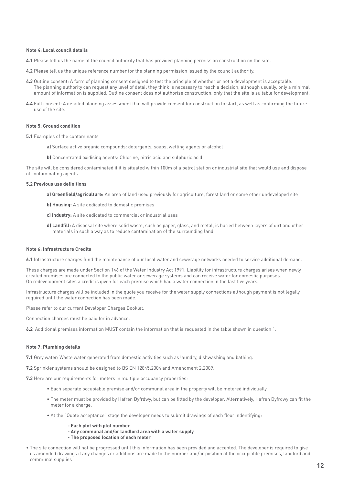#### **Note 4: Local council details**

- **4.1** Please tell us the name of the council authority that has provided planning permission construction on the site.
- **4.2** Please tell us the unique reference number for the planning permission issued by the council authority.
- **4.3** Outline consent: A form of planning consent designed to test the principle of whether or not a development is acceptable. The planning authority can request any level of detail they think is necessary to reach a decision, although usually, only a minimal amount of information is supplied. Outline consent does not authorise construction, only that the site is suitable for development.
- **4.4** Full consent: A detailed planning assessment that will provide consent for construction to start, as well as confirming the future use of the site.

#### **Note 5: Ground condition**

- **5.1** Examples of the contaminants
	- **a)** Surface active organic compounds: detergents, soaps, wetting agents or alcohol
	- **b)** Concentrated oxidising agents: Chlorine, nitric acid and sulphuric acid

The site will be considered contaminated if it is situated within 100m of a petrol station or industrial site that would use and dispose of contaminating agents

#### **5.2 Previous use definitions**

- **a) Greenfield/agriculture:** An area of land used previously for agriculture, forest land or some other undeveloped site
- **b) Housing:** A site dedicated to domestic premises
- **c) Industry:** A site dedicated to commercial or industrial uses
- **d) Landfill:** A disposal site where solid waste, such as paper, glass, and metal, is buried between layers of dirt and other materials in such a way as to reduce contamination of the surrounding land.

#### **Note 6: Infrastructure Credits**

**6.1** Infrastructure charges fund the maintenance of our local water and sewerage networks needed to service additional demand.

These charges are made under Section 146 of the Water Industry Act 1991. Liability for infrastructure charges arises when newly created premises are connected to the public water or sewerage systems and can receive water for domestic purposes. On redevelopment sites a credit is given for each premise which had a water connection in the last five years.

Infrastructure charges will be included in the quote you receive for the water supply connections although payment is not legally required until the water connection has been made.

Please refer to our current Developer Charges Booklet.

Connection charges must be paid for in advance.

**6.2** Additional premises information MUST contain the information that is requested in the table shown in question 1.

#### **Note 7: Plumbing details**

**7.1** Grey water: Waste water generated from domestic activities such as laundry, dishwashing and bathing.

**7.2** Sprinkler systems should be designed to BS EN 12845:2004 and Amendment 2:2009.

**7.3** Here are our requirements for meters in multiple occupancy properties:

- Each separate occupiable premise and/or communal area in the property will be metered individually.
- The meter must be provided by Hafren Dyfrdwy, but can be fitted by the developer. Alternatively, Hafren Dyfrdwy can fit the meter for a charge.
- At the "Quote acceptance" stage the developer needs to submit drawings of each floor indentifying:
	- **Each plot with plot number**
	- **Any communal and/or landlord area with a water supply**
	- **The proposed location of each meter**
- The site connection will not be progressed until this information has been provided and accepted. The developer is required to give us amended drawings if any changes or additions are made to the number and/or position of the occupiable premises, landlord and communal supplies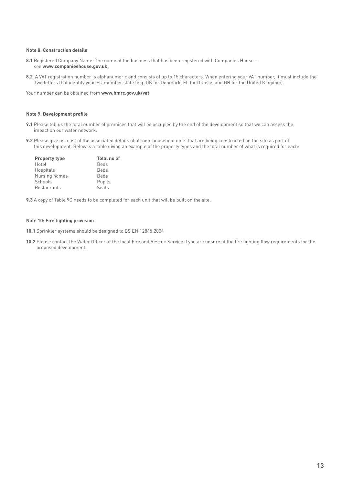#### **Note 8: Construction details**

- **8.1** Registered Company Name: The name of the business that has been registered with Companies House see **www.companieshouse.gov.uk.**
- **8.2** A VAT registration number is alphanumeric and consists of up to 15 characters. When entering your VAT number, it must include the two letters that identify your EU member state (e.g. DK for Denmark, EL for Greece, and GB for the United Kingdom).

Your number can be obtained from **www.hmrc.gov.uk/vat**

#### **Note 9: Development profile**

- **9.1** Please tell us the total number of premises that will be occupied by the end of the development so that we can assess the impact on our water network.
- **9.2** Please give us a list of the associated details of all non-household units that are being constructed on the site as part of this development. Below is a table giving an example of the property types and the total number of what is required for each:

| <b>Property type</b> | <b>Total no of</b> |
|----------------------|--------------------|
| Hotel                | Beds               |
| Hospitals            | Beds               |
| Nursing homes        | Beds               |
| Schools              | Pupils             |
| Restaurants          | Seats              |

**9.3** A copy of Table 9C needs to be completed for each unit that will be built on the site.

## **Note 10: Fire fighting provision**

**10.1** Sprinkler systems should be designed to BS EN 12845:2004

**10.2** Please contact the Water Officer at the local Fire and Rescue Service if you are unsure of the fire fighting flow requirements for the proposed development.